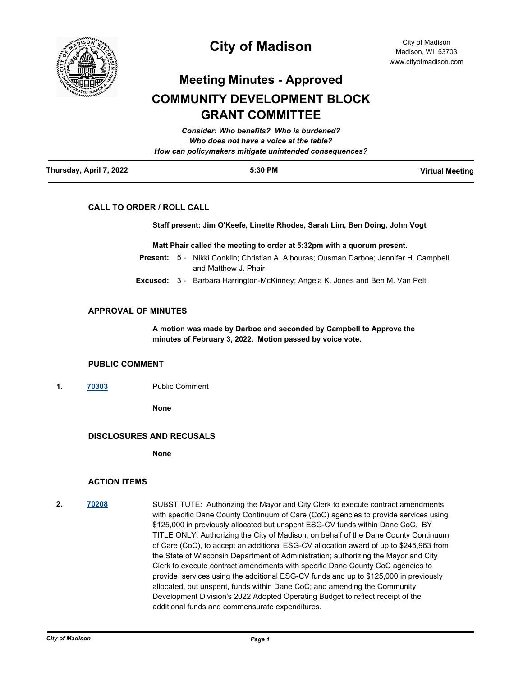

# **City of Madison**

# **Meeting Minutes - Approved COMMUNITY DEVELOPMENT BLOCK GRANT COMMITTEE**

| Thursday, April 7, 2022 | 5:30 PM                                                | <b>Virtual Meeting</b> |
|-------------------------|--------------------------------------------------------|------------------------|
|                         | How can policymakers mitigate unintended consequences? |                        |
|                         | Who does not have a voice at the table?                |                        |
|                         | Consider: Who benefits? Who is burdened?               |                        |

# **CALL TO ORDER / ROLL CALL**

**Staff present: Jim O'Keefe, Linette Rhodes, Sarah Lim, Ben Doing, John Vogt**

**Matt Phair called the meeting to order at 5:32pm with a quorum present.**

- Present: 5 Nikki Conklin; Christian A. Albouras; Ousman Darboe; Jennifer H. Campbell and Matthew J. Phair
- **Excused:** 3 Barbara Harrington-McKinney; Angela K. Jones and Ben M. Van Pelt

### **APPROVAL OF MINUTES**

**A motion was made by Darboe and seconded by Campbell to Approve the minutes of February 3, 2022. Motion passed by voice vote.**

### **PUBLIC COMMENT**

**1. [70303](http://madison.legistar.com/gateway.aspx?m=l&id=/matter.aspx?key=81385)** Public Comment

**None**

# **DISCLOSURES AND RECUSALS**

**None**

### **ACTION ITEMS**

**2. [70208](http://madison.legistar.com/gateway.aspx?m=l&id=/matter.aspx?key=81330)** SUBSTITUTE: Authorizing the Mayor and City Clerk to execute contract amendments with specific Dane County Continuum of Care (CoC) agencies to provide services using \$125,000 in previously allocated but unspent ESG-CV funds within Dane CoC. BY TITLE ONLY: Authorizing the City of Madison, on behalf of the Dane County Continuum of Care (CoC), to accept an additional ESG-CV allocation award of up to \$245,963 from the State of Wisconsin Department of Administration; authorizing the Mayor and City Clerk to execute contract amendments with specific Dane County CoC agencies to provide services using the additional ESG-CV funds and up to \$125,000 in previously allocated, but unspent, funds within Dane CoC; and amending the Community Development Division's 2022 Adopted Operating Budget to reflect receipt of the additional funds and commensurate expenditures.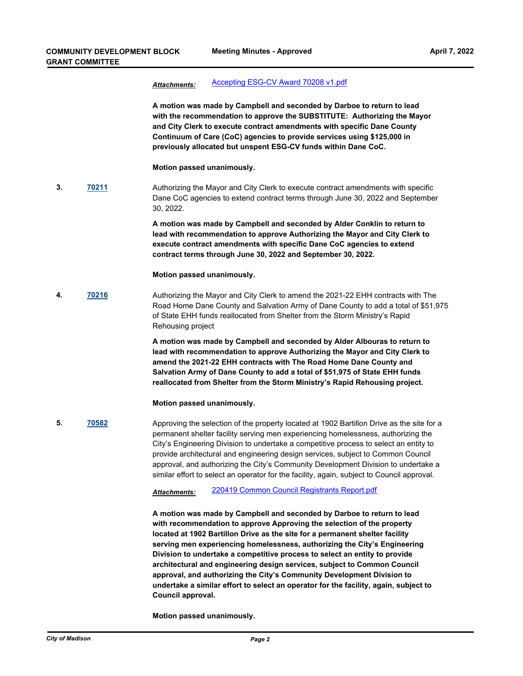## *Attachments:* [Accepting ESG-CV Award 70208 v1.pdf](http://madison.legistar.com/gateway.aspx?M=F&ID=6181b987-5c73-4f71-92b2-ad94ef17f0e5.pdf)

**A motion was made by Campbell and seconded by Darboe to return to lead with the recommendation to approve the SUBSTITUTE: Authorizing the Mayor and City Clerk to execute contract amendments with specific Dane County Continuum of Care (CoC) agencies to provide services using \$125,000 in previously allocated but unspent ESG-CV funds within Dane CoC.**

#### **Motion passed unanimously.**

**3. [70211](http://madison.legistar.com/gateway.aspx?m=l&id=/matter.aspx?key=81333)** Authorizing the Mayor and City Clerk to execute contract amendments with specific Dane CoC agencies to extend contract terms through June 30, 2022 and September 30, 2022.

> **A motion was made by Campbell and seconded by Alder Conklin to return to lead with recommendation to approve Authorizing the Mayor and City Clerk to execute contract amendments with specific Dane CoC agencies to extend contract terms through June 30, 2022 and September 30, 2022.**

#### **Motion passed unanimously.**

**4. [70216](http://madison.legistar.com/gateway.aspx?m=l&id=/matter.aspx?key=81338)** Authorizing the Mayor and City Clerk to amend the 2021-22 EHH contracts with The Road Home Dane County and Salvation Army of Dane County to add a total of \$51,975 of State EHH funds reallocated from Shelter from the Storm Ministry's Rapid Rehousing project

> **A motion was made by Campbell and seconded by Alder Albouras to return to lead with recommendation to approve Authorizing the Mayor and City Clerk to amend the 2021-22 EHH contracts with The Road Home Dane County and Salvation Army of Dane County to add a total of \$51,975 of State EHH funds reallocated from Shelter from the Storm Ministry's Rapid Rehousing project.**

#### **Motion passed unanimously.**

**5. [70582](http://madison.legistar.com/gateway.aspx?m=l&id=/matter.aspx?key=82613)** Approving the selection of the property located at 1902 Bartillon Drive as the site for a permanent shelter facility serving men experiencing homelessness, authorizing the City's Engineering Division to undertake a competitive process to select an entity to provide architectural and engineering design services, subject to Common Council approval, and authorizing the City's Community Development Division to undertake a similar effort to select an operator for the facility, again, subject to Council approval.

*Attachments:* [220419 Common Council Registrants Report.pdf](http://madison.legistar.com/gateway.aspx?M=F&ID=b7004d03-fa2e-447d-8328-9b8c0f9e2a17.pdf)

**A motion was made by Campbell and seconded by Darboe to return to lead with recommendation to approve Approving the selection of the property located at 1902 Bartillon Drive as the site for a permanent shelter facility serving men experiencing homelessness, authorizing the City's Engineering Division to undertake a competitive process to select an entity to provide architectural and engineering design services, subject to Common Council approval, and authorizing the City's Community Development Division to undertake a similar effort to select an operator for the facility, again, subject to Council approval.**

**Motion passed unanimously.**